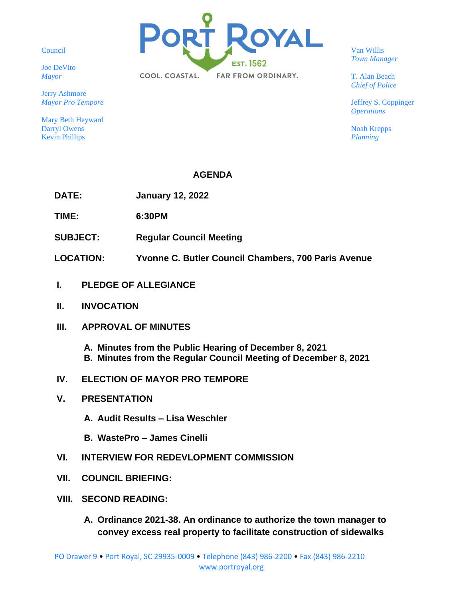Council

Joe DeVito *Mayor*

Jerry Ashmore *Mayor Pro Tempore*

Mary Beth Heyward Darryl Owens Kevin Phillips



Van Willis *Town Manager*

T. Alan Beach *Chief of Police*

Jeffrey S. Coppinger *Operations*

Noah Krepps *Planning*

## **AGENDA**

**DATE: January 12, 2022**

**TIME: 6:30PM**

- **SUBJECT: Regular Council Meeting**
- **LOCATION: Yvonne C. Butler Council Chambers, 700 Paris Avenue**
- **I. PLEDGE OF ALLEGIANCE**
- **II. INVOCATION**
- **III. APPROVAL OF MINUTES**

**A. Minutes from the Public Hearing of December 8, 2021 B. Minutes from the Regular Council Meeting of December 8, 2021**

- **IV. ELECTION OF MAYOR PRO TEMPORE**
- **V. PRESENTATION**
	- **A. Audit Results – Lisa Weschler**
	- **B. WastePro – James Cinelli**
- **VI. INTERVIEW FOR REDEVLOPMENT COMMISSION**
- **VII. COUNCIL BRIEFING:**
- **VIII. SECOND READING:**
	- **A. Ordinance 2021-38. An ordinance to authorize the town manager to convey excess real property to facilitate construction of sidewalks**